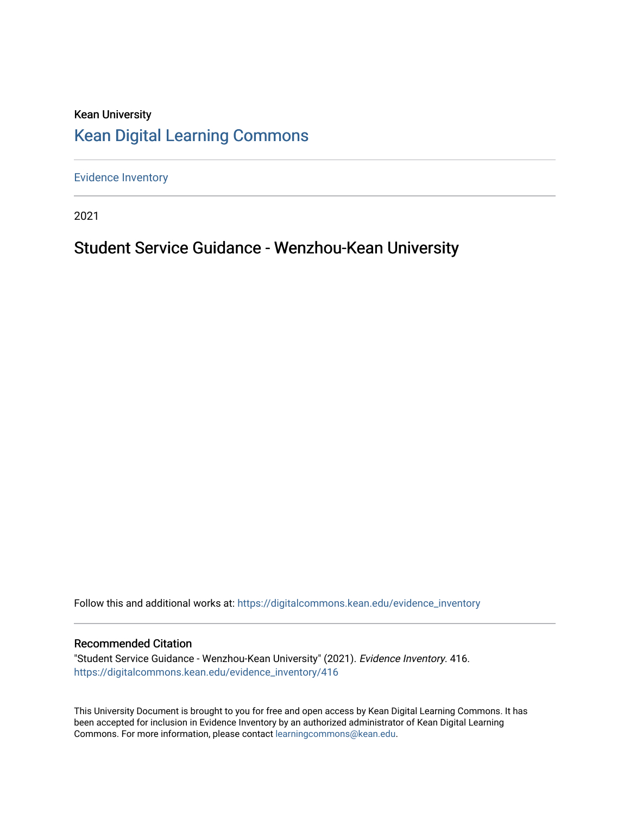### Kean University [Kean Digital Learning Commons](https://digitalcommons.kean.edu/)

[Evidence Inventory](https://digitalcommons.kean.edu/evidence_inventory) 

2021

# Student Service Guidance - Wenzhou-Kean University

Follow this and additional works at: [https://digitalcommons.kean.edu/evidence\\_inventory](https://digitalcommons.kean.edu/evidence_inventory?utm_source=digitalcommons.kean.edu%2Fevidence_inventory%2F416&utm_medium=PDF&utm_campaign=PDFCoverPages)

#### Recommended Citation

"Student Service Guidance - Wenzhou-Kean University" (2021). Evidence Inventory. 416. [https://digitalcommons.kean.edu/evidence\\_inventory/416](https://digitalcommons.kean.edu/evidence_inventory/416?utm_source=digitalcommons.kean.edu%2Fevidence_inventory%2F416&utm_medium=PDF&utm_campaign=PDFCoverPages)

This University Document is brought to you for free and open access by Kean Digital Learning Commons. It has been accepted for inclusion in Evidence Inventory by an authorized administrator of Kean Digital Learning Commons. For more information, please contact [learningcommons@kean.edu.](mailto:learningcommons@kean.edu)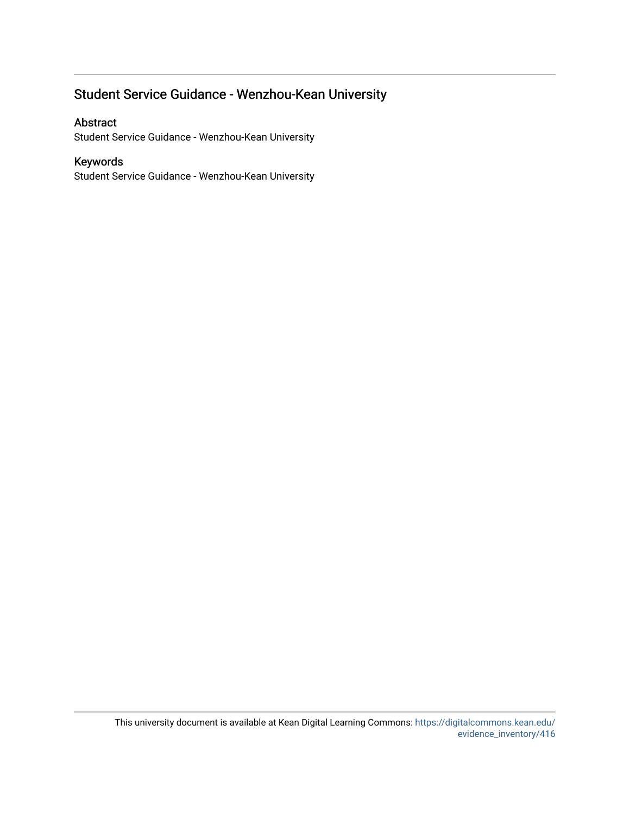# Student Service Guidance - Wenzhou-Kean University

#### Abstract

Student Service Guidance - Wenzhou-Kean University

#### Keywords

Student Service Guidance - Wenzhou-Kean University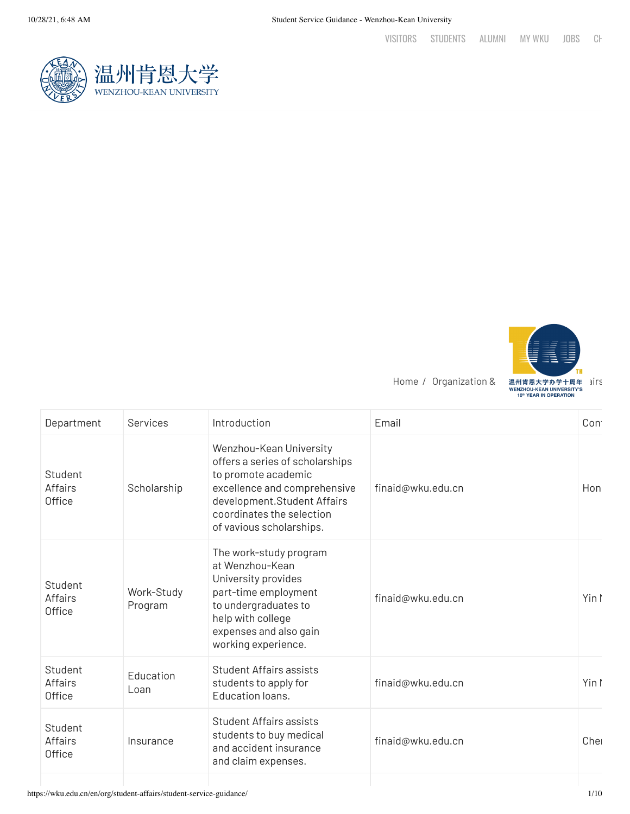





| Services              | Introduction                                                                                                                                                                                              | Email             | Cont  |
|-----------------------|-----------------------------------------------------------------------------------------------------------------------------------------------------------------------------------------------------------|-------------------|-------|
| Scholarship           | Wenzhou-Kean University<br>offers a series of scholarships<br>to promote academic<br>excellence and comprehensive<br>development.Student Affairs<br>coordinates the selection<br>of vavious scholarships. | finaid@wku.edu.cn | Hon   |
| Work-Study<br>Program | The work-study program<br>at Wenzhou-Kean<br>University provides<br>part-time employment<br>to undergraduates to<br>help with college<br>expenses and also gain<br>working experience.                    | finaid@wku.edu.cn | Yin I |
| Education<br>Loan     | <b>Student Affairs assists</b><br>students to apply for<br>Education loans.                                                                                                                               | finaid@wku.edu.cn | Yin I |
| Insurance             | Student Affairs assists<br>students to buy medical<br>and accident insurance<br>and claim expenses.                                                                                                       | finaid@wku.edu.cn | Cher  |
|                       |                                                                                                                                                                                                           |                   |       |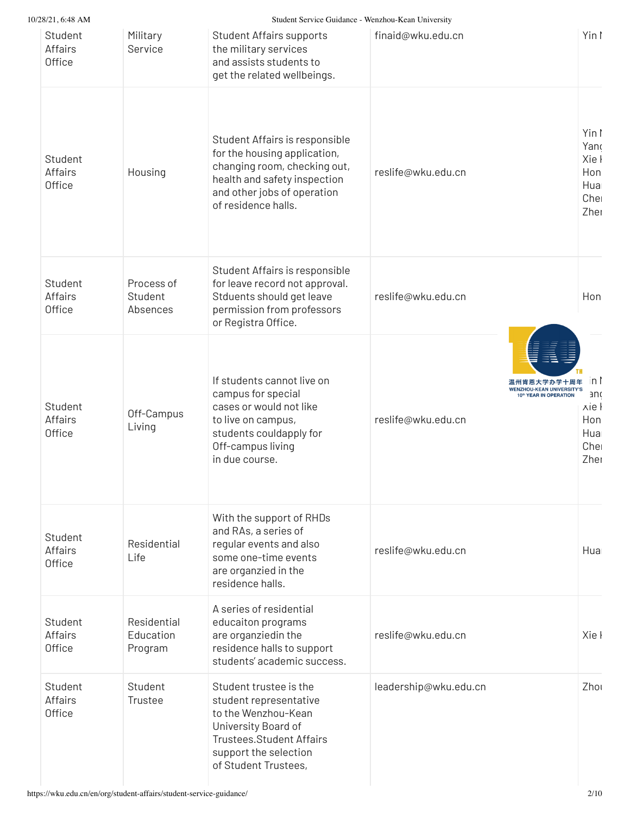Student Service Guidance - Wenzhou-Kean University

| 20/21, 0.40 AINI                           |                                     | Student Service Guidance - Wenzhou-Kean Omversity                                                                                                                                    |                                                                                                            |                                                      |
|--------------------------------------------|-------------------------------------|--------------------------------------------------------------------------------------------------------------------------------------------------------------------------------------|------------------------------------------------------------------------------------------------------------|------------------------------------------------------|
| Student<br><b>Affairs</b><br><b>Office</b> | Military<br>Service                 | <b>Student Affairs supports</b><br>the military services<br>and assists students to<br>get the related wellbeings.                                                                   | finaid@wku.edu.cn                                                                                          | Yin I                                                |
| Student<br><b>Affairs</b><br><b>Office</b> | Housing                             | Student Affairs is responsible<br>for the housing application,<br>changing room, checking out,<br>health and safety inspection<br>and other jobs of operation<br>of residence halls. | reslife@wku.edu.cn                                                                                         | Yin I<br>Yano<br>Xie I<br>Hon<br>Hua<br>Cher<br>Zher |
| Student<br><b>Affairs</b><br><b>Office</b> | Process of<br>Student<br>Absences   | Student Affairs is responsible<br>for leave record not approval.<br>Stduents should get leave<br>permission from professors<br>or Registra Office.                                   | reslife@wku.edu.cn                                                                                         | Hon                                                  |
| Student<br><b>Affairs</b><br><b>Office</b> | Off-Campus<br>Living                | If students cannot live on<br>campus for special<br>cases or would not like<br>to live on campus,<br>students couldapply for<br>Off-campus living<br>in due course.                  | 温州肯恩大学办学十周年<br><b>WENZHOU-KEAN UNIVERSITY'S</b><br>0 <sup>th</sup> YEAR IN OPERATION<br>reslife@wku.edu.cn | in I<br>and<br>xie l<br>Hon<br>Hua<br>Cher<br>Zher   |
| Student<br><b>Affairs</b><br><b>Office</b> | Residential<br>Life                 | With the support of RHDs<br>and RAs, a series of<br>regular events and also<br>some one-time events<br>are organzied in the<br>residence halls.                                      | reslife@wku.edu.cn                                                                                         | Hua                                                  |
| Student<br><b>Affairs</b><br>Office        | Residential<br>Education<br>Program | A series of residential<br>educaiton programs<br>are organziedin the<br>residence halls to support<br>students' academic success.                                                    | reslife@wku.edu.cn                                                                                         | Xie <sub>l</sub>                                     |
| Student<br><b>Affairs</b><br><b>Office</b> | Student<br>Trustee                  | Student trustee is the<br>student representative<br>to the Wenzhou-Kean<br>University Board of<br><b>Trustees.Student Affairs</b><br>support the selection<br>of Student Trustees,   | leadership@wku.edu.cn                                                                                      | Zhou                                                 |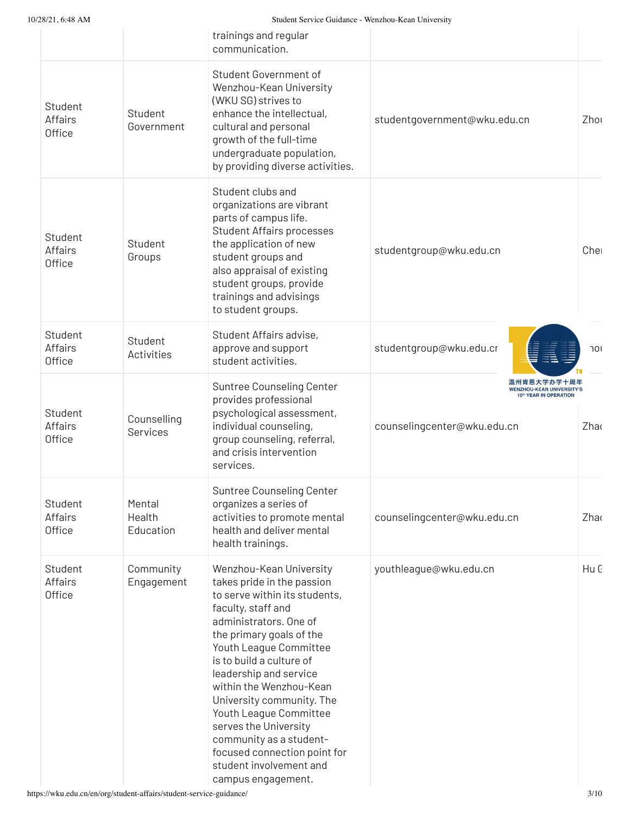| 20/21, 0.40 A.W                            |                               | Student Service Guidance - Wenzhou-Kean University                                                                                                                                                                                                                                                                                                                                                                                                                        |                                                                                                                      |      |
|--------------------------------------------|-------------------------------|---------------------------------------------------------------------------------------------------------------------------------------------------------------------------------------------------------------------------------------------------------------------------------------------------------------------------------------------------------------------------------------------------------------------------------------------------------------------------|----------------------------------------------------------------------------------------------------------------------|------|
|                                            |                               | trainings and regular<br>communication.                                                                                                                                                                                                                                                                                                                                                                                                                                   |                                                                                                                      |      |
| Student<br><b>Affairs</b><br>Office        | Student<br>Government         | Student Government of<br>Wenzhou-Kean University<br>(WKU SG) strives to<br>enhance the intellectual,<br>cultural and personal<br>growth of the full-time<br>undergraduate population,<br>by providing diverse activities.                                                                                                                                                                                                                                                 | studentgovernment@wku.edu.cn                                                                                         | Zhou |
| Student<br><b>Affairs</b><br><b>Office</b> | Student<br>Groups             | Student clubs and<br>organizations are vibrant<br>parts of campus life.<br><b>Student Affairs processes</b><br>the application of new<br>student groups and<br>also appraisal of existing<br>student groups, provide<br>trainings and advisings<br>to student groups.                                                                                                                                                                                                     | studentgroup@wku.edu.cn                                                                                              | Che  |
| Student<br><b>Affairs</b><br><b>Office</b> | Student<br>Activities         | Student Affairs advise,<br>approve and support<br>student activities.                                                                                                                                                                                                                                                                                                                                                                                                     | studentgroup@wku.edu.cr                                                                                              | 701  |
| Student<br><b>Affairs</b><br><b>Office</b> | Counselling<br>Services       | Suntree Counseling Center<br>provides professional<br>psychological assessment,<br>individual counseling,<br>group counseling, referral,<br>and crisis intervention<br>services.                                                                                                                                                                                                                                                                                          | 温州肯恩大学办学十周年<br><b>WENZHOU-KEAN UNIVERSITY'S</b><br>10 <sup>th</sup> YEAR IN OPERATION<br>counselingcenter@wku.edu.cn | Zhao |
| Student<br>Affairs<br><b>Office</b>        | Mental<br>Health<br>Education | Suntree Counseling Center<br>organizes a series of<br>activities to promote mental<br>health and deliver mental<br>health trainings.                                                                                                                                                                                                                                                                                                                                      | counselingcenter@wku.edu.cn                                                                                          | Zhao |
| Student<br><b>Affairs</b><br>Office        | Community<br>Engagement       | Wenzhou-Kean University<br>takes pride in the passion<br>to serve within its students,<br>faculty, staff and<br>administrators. One of<br>the primary goals of the<br>Youth League Committee<br>is to build a culture of<br>leadership and service<br>within the Wenzhou-Kean<br>University community. The<br>Youth League Committee<br>serves the University<br>community as a student-<br>focused connection point for<br>student involvement and<br>campus engagement. | youthleague@wku.edu.cn                                                                                               | Hu C |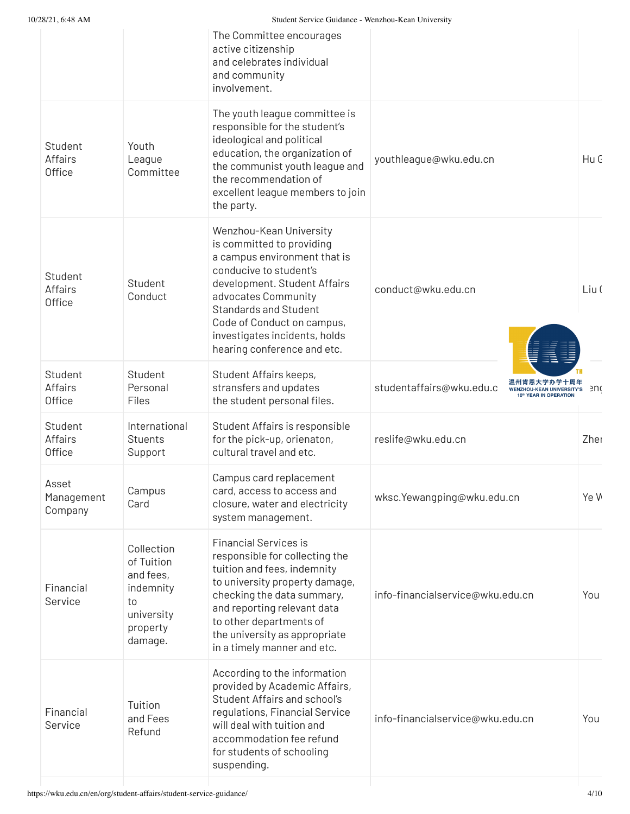| 10/28/21, 6:48 AM                   |                                                                                               | Student Service Guidance - Wenzhou-Kean University                                                                                                                                                                                                                                                  |                                                                                                              |       |
|-------------------------------------|-----------------------------------------------------------------------------------------------|-----------------------------------------------------------------------------------------------------------------------------------------------------------------------------------------------------------------------------------------------------------------------------------------------------|--------------------------------------------------------------------------------------------------------------|-------|
|                                     |                                                                                               | The Committee encourages<br>active citizenship<br>and celebrates individual<br>and community<br>involvement.                                                                                                                                                                                        |                                                                                                              |       |
| Student<br><b>Affairs</b><br>Office | Youth<br>League<br>Committee                                                                  | The youth league committee is<br>responsible for the student's<br>ideological and political<br>education, the organization of<br>the communist youth league and<br>the recommendation of<br>excellent league members to join<br>the party.                                                          | youthleague@wku.edu.cn                                                                                       | Hu C  |
| Student<br><b>Affairs</b><br>Office | Student<br>Conduct                                                                            | Wenzhou-Kean University<br>is committed to providing<br>a campus environment that is<br>conducive to student's<br>development. Student Affairs<br>advocates Community<br><b>Standards and Student</b><br>Code of Conduct on campus,<br>investigates incidents, holds<br>hearing conference and etc. | conduct@wku.edu.cn                                                                                           | Liu ( |
| Student<br><b>Affairs</b><br>Office | Student<br>Personal<br>Files                                                                  | Student Affairs keeps,<br>stransfers and updates<br>the student personal files.                                                                                                                                                                                                                     | 「恩大学办学<br>studentaffairs@wku.edu.c<br><b>WENZHOU-KEAN UNIVERSITY'S</b><br>10 <sup>th</sup> YEAR IN OPERATION | enc   |
| Student<br><b>Affairs</b><br>Office | International<br><b>Stuents</b><br>Support                                                    | Student Affairs is responsible<br>for the pick-up, orienaton,<br>cultural travel and etc.                                                                                                                                                                                                           | reslife@wku.edu.cn                                                                                           | Zher  |
| Asset<br>Management<br>Company      | Campus<br>Card                                                                                | Campus card replacement<br>card, access to access and<br>closure, water and electricity<br>system management.                                                                                                                                                                                       | wksc.Yewangping@wku.edu.cn                                                                                   | Ye W  |
| Financial<br>Service                | Collection<br>of Tuition<br>and fees,<br>indemnity<br>to<br>university<br>property<br>damage. | <b>Financial Services is</b><br>responsible for collecting the<br>tuition and fees, indemnity<br>to university property damage,<br>checking the data summary,<br>and reporting relevant data<br>to other departments of<br>the university as appropriate<br>in a timely manner and etc.             | info-financialservice@wku.edu.cn                                                                             | You   |
| Financial<br>Service                | Tuition<br>and Fees<br>Refund                                                                 | According to the information<br>provided by Academic Affairs,<br>Student Affairs and school's<br>regulations, Financial Service<br>will deal with tuition and<br>accommodation fee refund<br>for students of schooling<br>suspending.                                                               | info-financialservice@wku.edu.cn                                                                             | You   |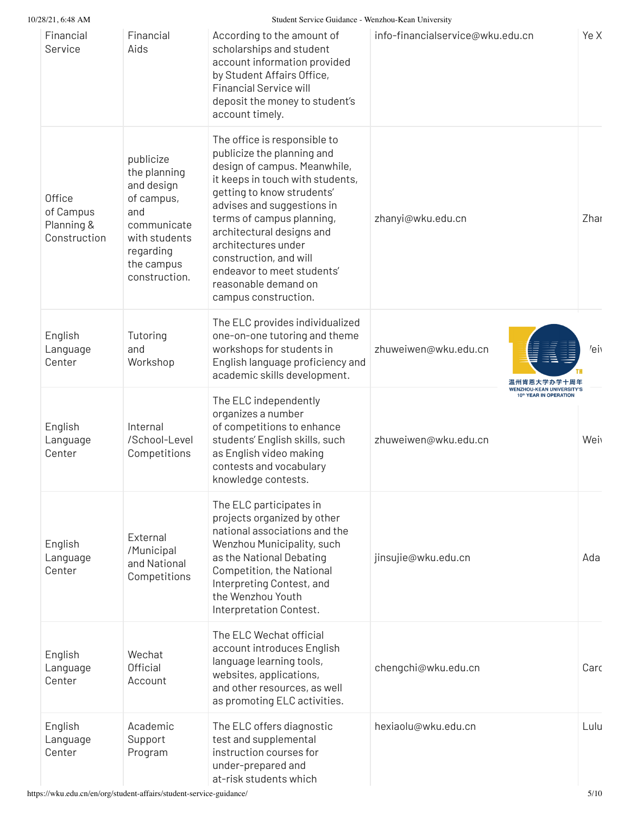| 10/28/21, 6:48 AM                                 |                                                                                                                                          | Student Service Guidance - Wenzhou-Kean University                                                                                                                                                                                                                                                                                                                                  |                                                                                    |      |
|---------------------------------------------------|------------------------------------------------------------------------------------------------------------------------------------------|-------------------------------------------------------------------------------------------------------------------------------------------------------------------------------------------------------------------------------------------------------------------------------------------------------------------------------------------------------------------------------------|------------------------------------------------------------------------------------|------|
| Financial<br>Service                              | Financial<br>Aids                                                                                                                        | According to the amount of<br>scholarships and student<br>account information provided<br>by Student Affairs Office,<br><b>Financial Service will</b><br>deposit the money to student's<br>account timely.                                                                                                                                                                          | info-financialservice@wku.edu.cn                                                   | Ye X |
| Office<br>of Campus<br>Planning &<br>Construction | publicize<br>the planning<br>and design<br>of campus,<br>and<br>communicate<br>with students<br>regarding<br>the campus<br>construction. | The office is responsible to<br>publicize the planning and<br>design of campus. Meanwhile,<br>it keeps in touch with students,<br>getting to know strudents'<br>advises and suggestions in<br>terms of campus planning,<br>architectural designs and<br>architectures under<br>construction, and will<br>endeavor to meet students'<br>reasonable demand on<br>campus construction. | zhanyi@wku.edu.cn                                                                  | Zhar |
| English<br>Language<br>Center                     | Tutoring<br>and<br>Workshop                                                                                                              | The ELC provides individualized<br>one-on-one tutoring and theme<br>workshops for students in<br>English language proficiency and<br>academic skills development.                                                                                                                                                                                                                   | zhuweiwen@wku.edu.cn<br>温州肯恩大学办学十                                                  | 'ei  |
| English<br>Language<br>Center                     | Internal<br>/School-Level<br>Competitions                                                                                                | The ELC independently<br>organizes a number<br>of competitions to enhance<br>students' English skills, such<br>as English video making<br>contests and vocabulary<br>knowledge contests.                                                                                                                                                                                            | <b>WENZHOU-KEAN UNIVERSITY'S</b><br>10th YEAR IN OPERATION<br>zhuweiwen@wku.edu.cn | Wei  |
| English<br>Language<br>Center                     | External<br>/Municipal<br>and National<br>Competitions                                                                                   | The ELC participates in<br>projects organized by other<br>national associations and the<br>Wenzhou Municipality, such<br>as the National Debating<br>Competition, the National<br>Interpreting Contest, and<br>the Wenzhou Youth<br>Interpretation Contest.                                                                                                                         | jinsujie@wku.edu.cn                                                                | Ada  |
| English<br>Language<br>Center                     | Wechat<br>Official<br>Account                                                                                                            | The ELC Wechat official<br>account introduces English<br>language learning tools,<br>websites, applications,<br>and other resources, as well<br>as promoting ELC activities.                                                                                                                                                                                                        | chengchi@wku.edu.cn                                                                | Carc |
| English<br>Language<br>Center                     | Academic<br>Support<br>Program                                                                                                           | The ELC offers diagnostic<br>test and supplemental<br>instruction courses for<br>under-prepared and<br>at-risk students which                                                                                                                                                                                                                                                       | hexiaolu@wku.edu.cn                                                                | Lulu |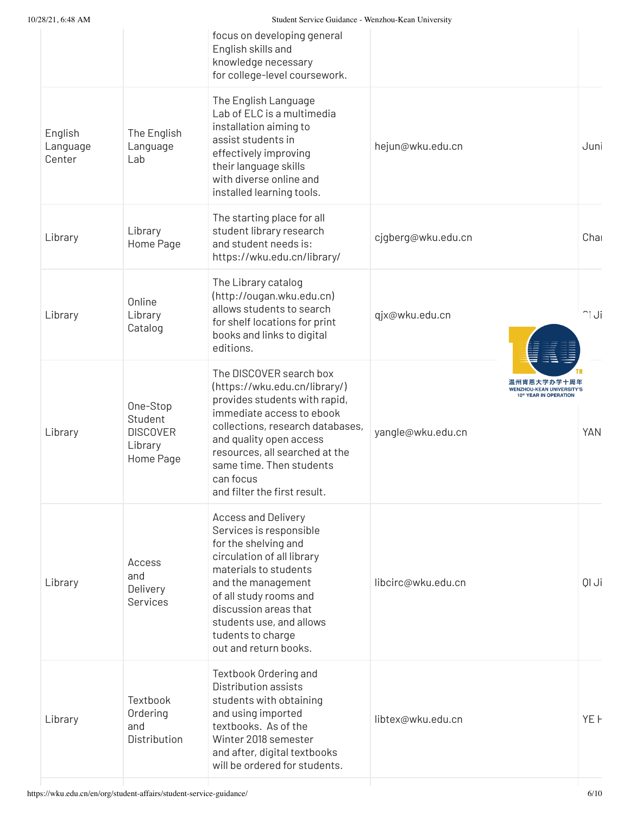| 10/28/21, 6:48 AM             |                                                                | Student Service Guidance - Wenzhou-Kean University                                                                                                                                                                                                                                               |                                                                                                             |            |
|-------------------------------|----------------------------------------------------------------|--------------------------------------------------------------------------------------------------------------------------------------------------------------------------------------------------------------------------------------------------------------------------------------------------|-------------------------------------------------------------------------------------------------------------|------------|
|                               |                                                                | focus on developing general<br>English skills and<br>knowledge necessary<br>for college-level coursework.                                                                                                                                                                                        |                                                                                                             |            |
| English<br>Language<br>Center | The English<br>Language<br>Lab                                 | The English Language<br>Lab of ELC is a multimedia<br>installation aiming to<br>assist students in<br>effectively improving<br>their language skills<br>with diverse online and<br>installed learning tools.                                                                                     | hejun@wku.edu.cn                                                                                            | Juni       |
| Library                       | Library<br>Home Page                                           | The starting place for all<br>student library research<br>and student needs is:<br>https://wku.edu.cn/library/                                                                                                                                                                                   | cjgberg@wku.edu.cn                                                                                          | Cha        |
| Library                       | Online<br>Library<br>Catalog                                   | The Library catalog<br>(http://ougan.wku.edu.cn)<br>allows students to search<br>for shelf locations for print<br>books and links to digital<br>editions.                                                                                                                                        | qjx@wku.edu.cn                                                                                              | $\cap$ Ji  |
| Library                       | One-Stop<br>Student<br><b>DISCOVER</b><br>Library<br>Home Page | The DISCOVER search box<br>(https://wku.edu.cn/library/)<br>provides students with rapid,<br>immediate access to ebook<br>collections, research databases,<br>and quality open access<br>resources, all searched at the<br>same time. Then students<br>can focus<br>and filter the first result. | 温州肯恩大学办学十周年<br><b>HOU-KEAN UNIVERSITY'S</b><br><b>D<sup>th</sup> YEAR IN OPERATION</b><br>yangle@wku.edu.cn | <b>YAN</b> |
| Library                       | Access<br>and<br>Delivery<br>Services                          | <b>Access and Delivery</b><br>Services is responsible<br>for the shelving and<br>circulation of all library<br>materials to students<br>and the management<br>of all study rooms and<br>discussion areas that<br>students use, and allows<br>tudents to charge<br>out and return books.          | libcirc@wku.edu.cn                                                                                          | il Ji      |
| Library                       | Textbook<br>Ordering<br>and<br>Distribution                    | Textbook Ordering and<br>Distribution assists<br>students with obtaining<br>and using imported<br>textbooks. As of the<br>Winter 2018 semester<br>and after, digital textbooks<br>will be ordered for students.                                                                                  | libtex@wku.edu.cn                                                                                           | YEH        |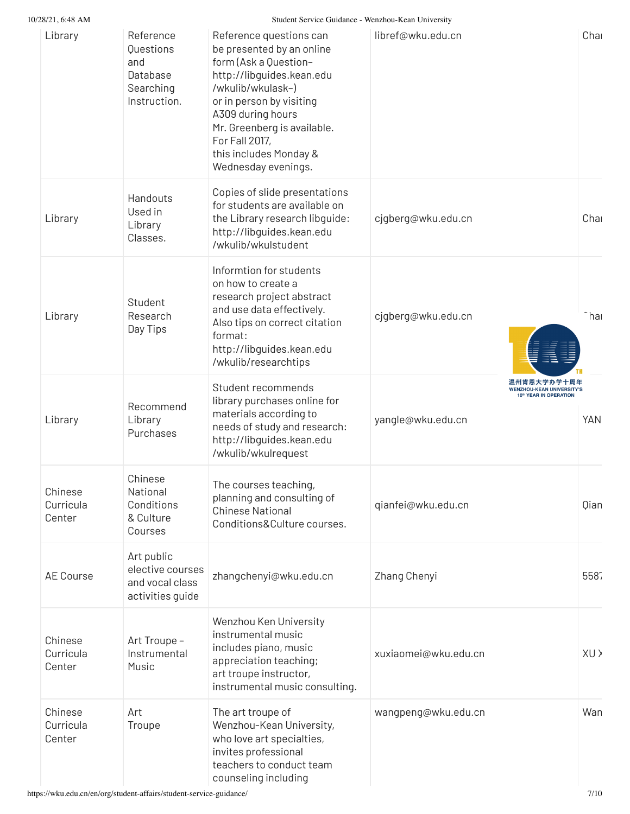10/28/21, 6:48 AM Student Service Guidance - Wenzhou-Kean University

| 40741, 0.40 AIN                |                                                                        | Student Service Guidance - Wenzhou-Kean Omversity                                                                                                                                                                                                                                  |                      |                                                                                         |
|--------------------------------|------------------------------------------------------------------------|------------------------------------------------------------------------------------------------------------------------------------------------------------------------------------------------------------------------------------------------------------------------------------|----------------------|-----------------------------------------------------------------------------------------|
| Library                        | Reference<br>Questions<br>and<br>Database<br>Searching<br>Instruction. | Reference questions can<br>be presented by an online<br>form (Ask a Question-<br>http://libguides.kean.edu<br>/wkulib/wkulask-)<br>or in person by visiting<br>A309 during hours<br>Mr. Greenberg is available.<br>For Fall 2017,<br>this includes Monday &<br>Wednesday evenings. | libref@wku.edu.cn    | Char                                                                                    |
| Library                        | Handouts<br>Used in<br>Library<br>Classes.                             | Copies of slide presentations<br>for students are available on<br>the Library research libguide:<br>http://libguides.kean.edu<br>/wkulib/wkulstudent                                                                                                                               | cjgberg@wku.edu.cn   | Char                                                                                    |
| Library                        | Student<br>Research<br>Day Tips                                        | Informtion for students<br>on how to create a<br>research project abstract<br>and use data effectively.<br>Also tips on correct citation<br>format:<br>http://libguides.kean.edu<br>/wkulib/researchtips                                                                           | cjgberg@wku.edu.cn   | -hai                                                                                    |
| Library                        | Recommend<br>Library<br>Purchases                                      | Student recommends<br>library purchases online for<br>materials according to<br>needs of study and research:<br>http://libguides.kean.edu<br>/wkulib/wkulrequest                                                                                                                   | yangle@wku.edu.cn    | 温州肯恩大学办学十周年<br><b>WENZHOU-KEAN UNIVERSITY'S</b><br>10th YEAR IN OPERATION<br><b>YAN</b> |
| Chinese<br>Curricula<br>Center | Chinese<br>National<br>Conditions<br>& Culture<br>Courses              | The courses teaching,<br>planning and consulting of<br><b>Chinese National</b><br>Conditions&Culture courses.                                                                                                                                                                      | qianfei@wku.edu.cn   | Qian                                                                                    |
| <b>AE Course</b>               | Art public<br>elective courses<br>and vocal class<br>activities guide  | zhangchenyi@wku.edu.cn                                                                                                                                                                                                                                                             | Zhang Chenyi         | 5587                                                                                    |
| Chinese<br>Curricula<br>Center | Art Troupe -<br>Instrumental<br>Music                                  | Wenzhou Ken University<br>instrumental music<br>includes piano, music<br>appreciation teaching;<br>art troupe instructor,<br>instrumental music consulting.                                                                                                                        | xuxiaomei@wku.edu.cn | XU >                                                                                    |
| Chinese<br>Curricula<br>Center | Art<br>Troupe                                                          | The art troupe of<br>Wenzhou-Kean University,<br>who love art specialties,<br>invites professional<br>teachers to conduct team<br>counseling including                                                                                                                             | wangpeng@wku.edu.cn  | Wan                                                                                     |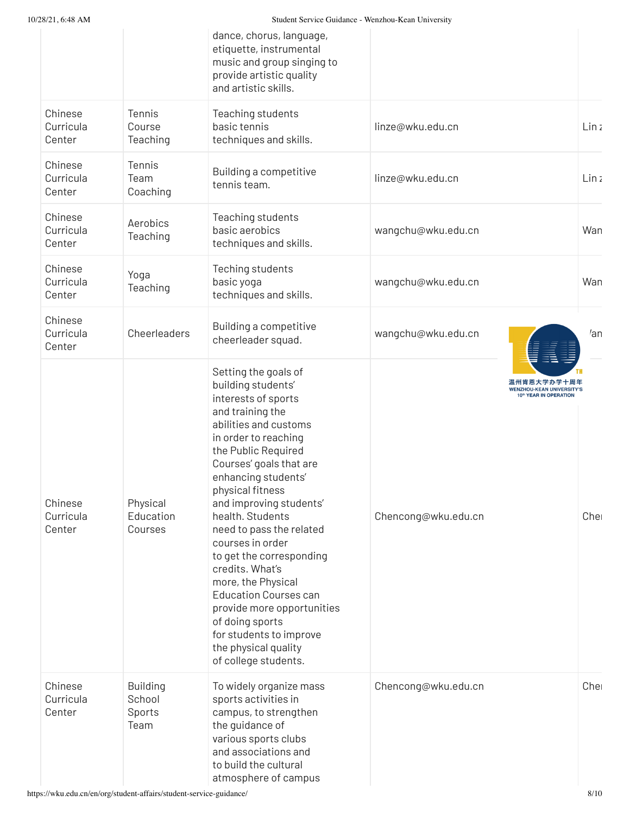|                                |                                             | dance, chorus, language,<br>etiquette, instrumental<br>music and group singing to<br>provide artistic quality<br>and artistic skills.                                                                                                                                                                                                                                                                                                                                                                                                                               |                     |                                                                                               |
|--------------------------------|---------------------------------------------|---------------------------------------------------------------------------------------------------------------------------------------------------------------------------------------------------------------------------------------------------------------------------------------------------------------------------------------------------------------------------------------------------------------------------------------------------------------------------------------------------------------------------------------------------------------------|---------------------|-----------------------------------------------------------------------------------------------|
| Chinese<br>Curricula<br>Center | Tennis<br>Course<br>Teaching                | Teaching students<br>basic tennis<br>techniques and skills.                                                                                                                                                                                                                                                                                                                                                                                                                                                                                                         | linze@wku.edu.cn    | Linz                                                                                          |
| Chinese<br>Curricula<br>Center | Tennis<br>Team<br>Coaching                  | Building a competitive<br>tennis team.                                                                                                                                                                                                                                                                                                                                                                                                                                                                                                                              | linze@wku.edu.cn    | Lin <sub>2</sub>                                                                              |
| Chinese<br>Curricula<br>Center | Aerobics<br>Teaching                        | Teaching students<br>basic aerobics<br>techniques and skills.                                                                                                                                                                                                                                                                                                                                                                                                                                                                                                       | wangchu@wku.edu.cn  | Wan                                                                                           |
| Chinese<br>Curricula<br>Center | Yoga<br>Teaching                            | Teching students<br>basic yoga<br>techniques and skills.                                                                                                                                                                                                                                                                                                                                                                                                                                                                                                            | wangchu@wku.edu.cn  | Wan                                                                                           |
| Chinese<br>Curricula<br>Center | Cheerleaders                                | Building a competitive<br>cheerleader squad.                                                                                                                                                                                                                                                                                                                                                                                                                                                                                                                        | wangchu@wku.edu.cn  | $\ell$ an                                                                                     |
| Chinese<br>Curricula<br>Center | Physical<br>Education<br>Courses            | Setting the goals of<br>building students'<br>interests of sports<br>and training the<br>abilities and customs<br>in order to reaching<br>the Public Required<br>Courses' goals that are<br>enhancing students'<br>physical fitness<br>and improving students'<br>health. Students<br>need to pass the related<br>courses in order<br>to get the corresponding<br>credits. What's<br>more, the Physical<br><b>Education Courses can</b><br>provide more opportunities<br>of doing sports<br>for students to improve<br>the physical quality<br>of college students. | Chencong@wku.edu.cn | 温州肯恩大学办学十周年<br><b>VENZHOU-KEAN UNIVERSITY'S</b><br>10 <sup>th</sup> YEAR IN OPERATION<br>Chel |
| Chinese<br>Curricula<br>Center | <b>Building</b><br>School<br>Sports<br>Team | To widely organize mass<br>sports activities in<br>campus, to strengthen<br>the guidance of<br>various sports clubs<br>and associations and<br>to build the cultural<br>atmosphere of campus                                                                                                                                                                                                                                                                                                                                                                        | Chencong@wku.edu.cn | Cher                                                                                          |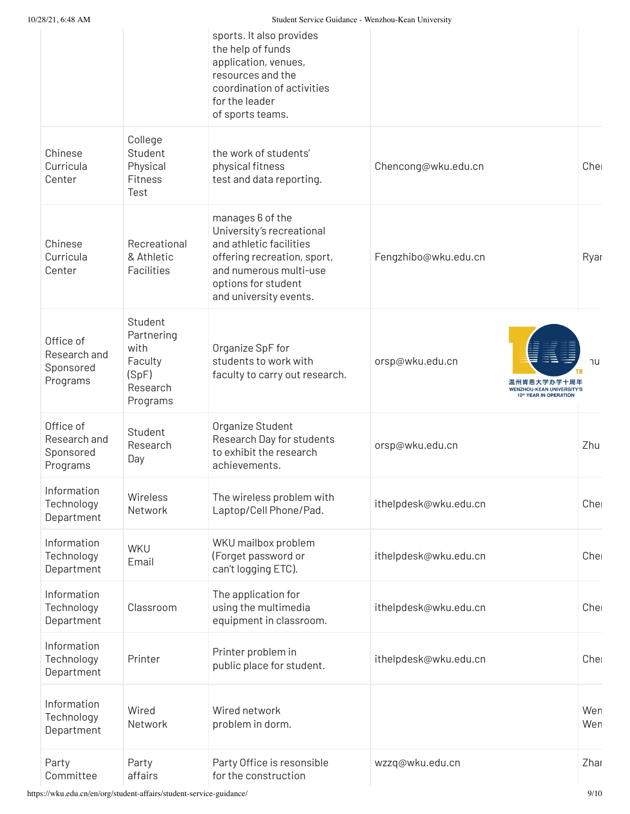10/28/21, 6:48 AM Student Service Guidance - Wenzhou-Kean University

|                                                    |                                                                           | əmməlli əsi viss standalıst — wellzilda-ixsali təllivsi sitv                                                                                                                       |                                                                                              |            |
|----------------------------------------------------|---------------------------------------------------------------------------|------------------------------------------------------------------------------------------------------------------------------------------------------------------------------------|----------------------------------------------------------------------------------------------|------------|
|                                                    |                                                                           | sports. It also provides<br>the help of funds<br>application, venues,<br>resources and the<br>coordination of activities<br>for the leader<br>of sports teams.                     |                                                                                              |            |
| Chinese<br>Curricula<br>Center                     | College<br>Student<br>Physical<br>Fitness<br>Test                         | the work of students'<br>physical fitness<br>test and data reporting.                                                                                                              | Chencong@wku.edu.cn                                                                          | Cher       |
| Chinese<br>Curricula<br>Center                     | Recreational<br>& Athletic<br>Facilities                                  | manages 6 of the<br>University's recreational<br>and athletic facilities<br>offering recreation, sport,<br>and numerous multi-use<br>options for student<br>and university events. | Fengzhibo@wku.edu.cn                                                                         | Ryar       |
| Office of<br>Research and<br>Sponsored<br>Programs | Student<br>Partnering<br>with<br>Faculty<br>(SpF)<br>Research<br>Programs | Organize SpF for<br>students to work with<br>faculty to carry out research.                                                                                                        | orsp@wku.edu.cn<br>温州肯恩大学办学十周年<br><b>WENZHOU-KEAN UNIVERSITY'S</b><br>10th YEAR IN OPERATION | าน         |
| Office of<br>Research and<br>Sponsored<br>Programs | Student<br>Research<br>Day                                                | Organize Student<br>Research Day for students<br>to exhibit the research<br>achievements.                                                                                          | orsp@wku.edu.cn                                                                              | Zhu        |
| Information<br>Technology<br>Department            | Wireless<br>Network                                                       | The wireless problem with<br>Laptop/Cell Phone/Pad.                                                                                                                                | ithelpdesk@wku.edu.cn                                                                        | Chel       |
| Information<br>Technology<br>Department            | WKU<br>Email                                                              | WKU mailbox problem<br>(Forget password or<br>can't logging ETC).                                                                                                                  | ithelpdesk@wku.edu.cn                                                                        | Chel       |
| Information<br>Technology<br>Department            | Classroom                                                                 | The application for<br>using the multimedia<br>equipment in classroom.                                                                                                             | ithelpdesk@wku.edu.cn                                                                        | Cher       |
| Information<br>Technology<br>Department            | Printer                                                                   | Printer problem in<br>public place for student.                                                                                                                                    | ithelpdesk@wku.edu.cn                                                                        | Chel       |
| Information<br>Technology<br>Department            | Wired<br>Network                                                          | Wired network<br>problem in dorm.                                                                                                                                                  |                                                                                              | Wen<br>Wen |
| Party<br>Committee                                 | Party<br>affairs                                                          | Party Office is resonsible<br>for the construction                                                                                                                                 | wzzq@wku.edu.cn                                                                              | Zhar       |